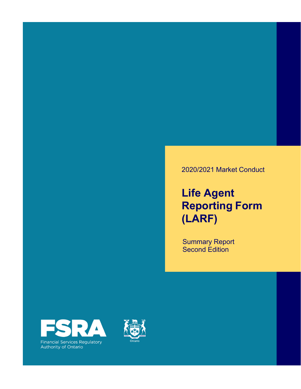### 2020/2021 Market Conduct

## **Life Agent Reporting Form (LARF)**

Summary Report Second Edition



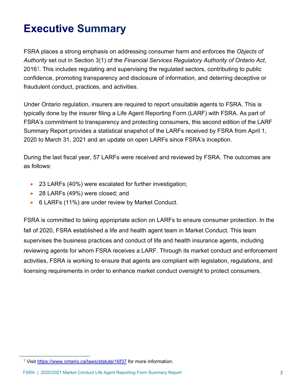## **Executive Summary**

FSRA places a strong emphasis on addressing consumer harm and enforces the *Objects of Authority* set out in Section 3(1) of the *Financial Services Regulatory Authority of Ontario Act*,  $2016<sup>1</sup>$ . This includes regulating and supervising the regulated sectors, contributing to public confidence, promoting transparency and disclosure of information, and deterring deceptive or fraudulent conduct, practices, and activities.

Under Ontario regulation, insurers are required to report unsuitable agents to FSRA. This is typically done by the insurer filing a Life Agent Reporting Form (LARF) with FSRA. As part of FSRA's commitment to transparency and protecting consumers, this second edition of the LARF Summary Report provides a statistical snapshot of the LARFs received by FSRA from April 1, 2020 to March 31, 2021 and an update on open LARFs since FSRA's inception.

During the last fiscal year, 57 LARFs were received and reviewed by FSRA. The outcomes are as follows:

- 23 LARFs (40%) were escalated for further investigation;
- 28 LARFs (49%) were closed; and
- 6 LARFs (11%) are under review by Market Conduct.

FSRA is committed to taking appropriate action on LARFs to ensure consumer protection. In the fall of 2020, FSRA established a life and health agent team in Market Conduct. This team supervises the business practices and conduct of life and health insurance agents, including reviewing agents for whom FSRA receives a LARF. Through its market conduct and enforcement activities, FSRA is working to ensure that agents are compliant with legislation, regulations, and licensing requirements in order to enhance market conduct oversight to protect consumers.

<sup>1</sup> Visit <https://www.ontario.ca/laws/statute/16f37> for more information.

FSRA | 2020/2021 Market Conduct Life Agent Reporting Form Summary Report 1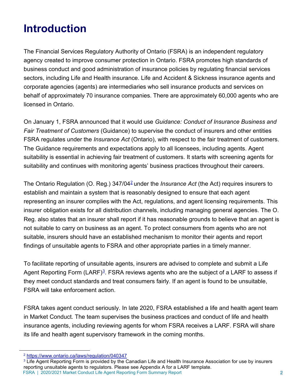## **Introduction**

The Financial Services Regulatory Authority of Ontario (FSRA) is an independent regulatory agency created to improve consumer protection in Ontario. FSRA promotes high standards of business conduct and good administration of insurance policies by regulating financial services sectors, including Life and Health insurance. Life and Accident & Sickness insurance agents and corporate agencies (agents) are intermediaries who sell insurance products and services on behalf of approximately 70 insurance companies. There are approximately 60,000 agents who are licensed in Ontario.

On January 1, FSRA announced that it would use *Guidance: Conduct of Insurance Business and Fair Treatment of Customers* (Guidance) to supervise the conduct of insurers and other entities FSRA regulates under the *Insurance Act* (Ontario), with respect to the fair treatment of customers. The Guidance requirements and expectations apply to all licensees, including agents. Agent suitability is essential in achieving fair treatment of customers. It starts with screening agents for suitability and continues with monitoring agents' business practices throughout their careers.

The Ontario Regulation (O. Reg.) 347/042 under the *Insurance Act* (the Act) requires insurers to establish and maintain a system that is reasonably designed to ensure that each agent representing an insurer complies with the Act, regulations, and agent licensing requirements. This insurer obligation exists for all distribution channels, including managing general agencies. The O. Reg. also states that an insurer shall report if it has reasonable grounds to believe that an agent is not suitable to carry on business as an agent. To protect consumers from agents who are not suitable, insurers should have an established mechanism to monitor their agents and report findings of unsuitable agents to FSRA and other appropriate parties in a timely manner.

To facilitate reporting of unsuitable agents, insurers are advised to complete and submit a Life Agent Reporting Form  $(LARF)^3$ . FSRA reviews agents who are the subject of a LARF to assess if they meet conduct standards and treat consumers fairly. If an agent is found to be unsuitable, FSRA will take enforcement action.

FSRA takes agent conduct seriously. In late 2020, FSRA established a life and health agent team in Market Conduct. The team supervises the business practices and conduct of life and health insurance agents, including reviewing agents for whom FSRA receives a LARF. FSRA will share its life and health agent supervisory framework in the coming months.

<sup>2</sup> <https://www.ontario.ca/laws/regulation/040347>

FSRA | 2020/2021 Market Conduct Life Agent Reporting Form Summary Report 2 <sup>3</sup> Life Agent Reporting Form is provided by the Canadian Life and Health Insurance Association for use by insurers reporting unsuitable agents to regulators. Please see Appendix A for a LARF template.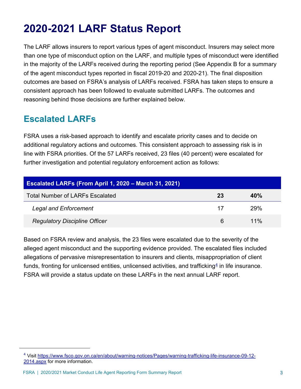## **2020-2021 LARF Status Report**

The LARF allows insurers to report various types of agent misconduct. Insurers may select more than one type of misconduct option on the LARF, and multiple types of misconduct were identified in the majority of the LARFs received during the reporting period (See Appendix B for a summary of the agent misconduct types reported in fiscal 2019-20 and 2020-21). The final disposition outcomes are based on FSRA's analysis of LARFs received. FSRA has taken steps to ensure a consistent approach has been followed to evaluate submitted LARFs. The outcomes and reasoning behind those decisions are further explained below.

### **Escalated LARFs**

FSRA uses a risk-based approach to identify and escalate priority cases and to decide on additional regulatory actions and outcomes. This consistent approach to assessing risk is in line with FSRA priorities. Of the 57 LARFs received, 23 files (40 percent) were escalated for further investigation and potential regulatory enforcement action as follows:

| <b>Escalated LARFs (From April 1, 2020 - March 31, 2021)</b> |    |        |  |  |
|--------------------------------------------------------------|----|--------|--|--|
| <b>Total Number of LARFs Escalated</b>                       | 23 | 40%    |  |  |
| <b>Legal and Enforcement</b>                                 | 17 | 29%    |  |  |
| <b>Regulatory Discipline Officer</b>                         | 6  | $11\%$ |  |  |

Based on FSRA review and analysis, the 23 files were escalated due to the severity of the alleged agent misconduct and the supporting evidence provided. The escalated files included allegations of pervasive misrepresentation to insurers and clients, misappropriation of client funds, fronting for unlicensed entities, unlicensed activities, and trafficking<sup>4</sup> in life insurance. FSRA will provide a status update on these LARFs in the next annual LARF report.

[<sup>4</sup> Visit https://www.fsco.gov.on.ca/en/about/warning-notices/Pages/warning-trafficking-life-insurance-09-12-](https://www.fsco.gov.on.ca/en/about/warning-notices/Pages/warning-trafficking-life-insurance-09-12-2014.aspx) 2014.aspx for more information.

FSRA | 2020/2021 Market Conduct Life Agent Reporting Form Summary Report 3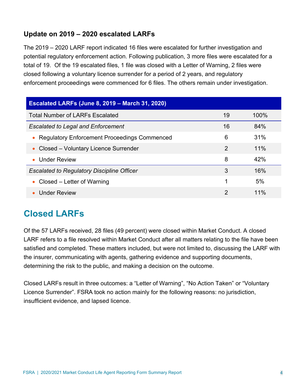### **Update on 2019 – 2020 escalated LARFs**

The 2019 – 2020 LARF report indicated 16 files were escalated for further investigation and potential regulatory enforcement action. Following publication, 3 more files were escalated for a total of 19. Of the 19 escalated files, 1 file was closed with a Letter of Warning, 2 files were closed following a voluntary licence surrender for a period of 2 years, and regulatory enforcement proceedings were commenced for 6 files. The others remain under investigation.

| <b>Escalated LARFs (June 8, 2019 - March 31, 2020)</b> |                |        |  |  |
|--------------------------------------------------------|----------------|--------|--|--|
| <b>Total Number of LARFs Escalated</b>                 | 19             | 100%   |  |  |
| <b>Escalated to Legal and Enforcement</b>              | 16             | 84%    |  |  |
| • Regulatory Enforcement Proceedings Commenced         | 6              | 31%    |  |  |
| Closed – Voluntary Licence Surrender<br>$\bullet$      | 2              | 11%    |  |  |
| • Under Review                                         | 8              | 42%    |  |  |
| <b>Escalated to Regulatory Discipline Officer</b>      | 3              | 16%    |  |  |
| • Closed – Letter of Warning                           | 1              | 5%     |  |  |
| <b>Under Review</b>                                    | $\overline{2}$ | $11\%$ |  |  |

### **Closed LARFs**

Of the 57 LARFs received, 28 files (49 percent) were closed within Market Conduct. A closed LARF refers to a file resolved within Market Conduct after all matters relating to the file have been satisfied and completed. These matters included, but were not limited to, discussing the LARF with the insurer, communicating with agents, gathering evidence and supporting documents, determining the risk to the public, and making a decision on the outcome.

Closed LARFs result in three outcomes: a "Letter of Warning", "No Action Taken" or "Voluntary Licence Surrender". FSRA took no action mainly for the following reasons: no jurisdiction, insufficient evidence, and lapsed licence.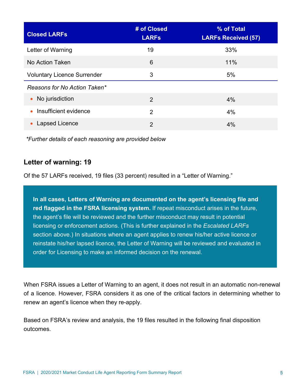| <b>Closed LARFs</b>                | # of Closed<br><b>LARFS</b> | % of Total<br><b>LARFs Received (57)</b> |
|------------------------------------|-----------------------------|------------------------------------------|
| Letter of Warning                  | 19                          | 33%                                      |
| No Action Taken                    | 6                           | 11%                                      |
| <b>Voluntary Licence Surrender</b> | 3                           | 5%                                       |
| Reasons for No Action Taken*       |                             |                                          |
| • No jurisdiction                  | $\overline{2}$              | 4%                                       |
| Insufficient evidence<br>$\bullet$ | $\mathcal{P}$               | 4%                                       |
| Lapsed Licence                     | $\overline{2}$              | 4%                                       |

*\*Further details of each reasoning are provided below* 

### **Letter of warning: 19**

Of the 57 LARFs received, 19 files (33 percent) resulted in a "Letter of Warning."

**In all cases, Letters of Warning are documented on the agent's licensing file and red flagged in the FSRA licensing system.** If repeat misconduct arises in the future, the agent's file will be reviewed and the further misconduct may result in potential licensing or enforcement actions. (This is further explained in the *Escalated LARFs*  section above.) In situations where an agent applies to renew his/her active licence or reinstate his/her lapsed licence, the Letter of Warning will be reviewed and evaluated in order for Licensing to make an informed decision on the renewal.

When FSRA issues a Letter of Warning to an agent, it does not result in an automatic non-renewal of a licence. However, FSRA considers it as one of the critical factors in determining whether to renew an agent's licence when they re-apply.

Based on FSRA's review and analysis, the 19 files resulted in the following final disposition outcomes.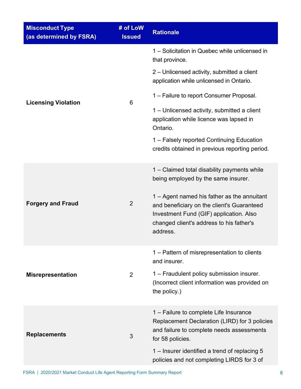| <b>Misconduct Type</b><br>(as determined by FSRA) | # of LoW<br><b>Issued</b> | <b>Rationale</b>                                                                                                                                                                             |
|---------------------------------------------------|---------------------------|----------------------------------------------------------------------------------------------------------------------------------------------------------------------------------------------|
|                                                   |                           | 1 - Solicitation in Quebec while unlicensed in<br>that province.                                                                                                                             |
|                                                   | 6                         | 2 – Unlicensed activity, submitted a client<br>application while unlicensed in Ontario.                                                                                                      |
|                                                   |                           | 1 – Failure to report Consumer Proposal.                                                                                                                                                     |
| <b>Licensing Violation</b>                        |                           | 1 – Unlicensed activity, submitted a client<br>application while licence was lapsed in<br>Ontario.                                                                                           |
|                                                   |                           | 1 - Falsely reported Continuing Education<br>credits obtained in previous reporting period.                                                                                                  |
| <b>Forgery and Fraud</b>                          | $\overline{2}$            | 1 – Claimed total disability payments while<br>being employed by the same insurer.                                                                                                           |
|                                                   |                           | 1 – Agent named his father as the annuitant<br>and beneficiary on the client's Guaranteed<br>Investment Fund (GIF) application. Also<br>changed client's address to his father's<br>address. |
|                                                   |                           | 1 – Pattern of misrepresentation to clients<br>and insurer.                                                                                                                                  |
| <b>Misrepresentation</b>                          | 2                         | 1 – Fraudulent policy submission insurer.<br>(Incorrect client information was provided on<br>the policy.)                                                                                   |
| <b>Replacements</b>                               | 3                         | 1 – Failure to complete Life Insurance<br>Replacement Declaration (LIRD) for 3 policies<br>and failure to complete needs assessments<br>for 58 policies.                                     |
|                                                   |                           | 1 – Insurer identified a trend of replacing 5<br>policies and not completing LIRDS for 3 of                                                                                                  |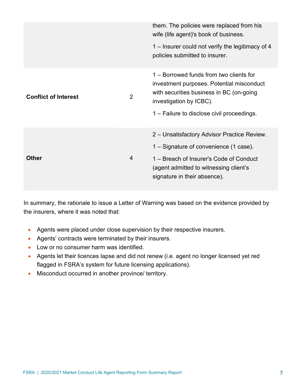|                             |                | them. The policies were replaced from his<br>wife (life agent)'s book of business.                                                                                                                        |
|-----------------------------|----------------|-----------------------------------------------------------------------------------------------------------------------------------------------------------------------------------------------------------|
|                             |                | 1 – Insurer could not verify the legitimacy of 4<br>policies submitted to insurer.                                                                                                                        |
| <b>Conflict of Interest</b> | $\overline{2}$ | 1 – Borrowed funds from two clients for<br>investment purposes. Potential misconduct<br>with securities business in BC (on-going<br>investigation by ICBC).<br>1 – Failure to disclose civil proceedings. |
|                             |                | 2 – Unsatisfactory Advisor Practice Review.                                                                                                                                                               |
|                             |                | 1 – Signature of convenience (1 case).                                                                                                                                                                    |
| <b>Other</b>                | $\overline{4}$ | 1 – Breach of Insurer's Code of Conduct<br>(agent admitted to witnessing client's<br>signature in their absence).                                                                                         |

In summary, the rationale to issue a Letter of Warning was based on the evidence provided by the insurers, where it was noted that:

- Agents were placed under close supervision by their respective insurers.
- Agents' contracts were terminated by their insurers.
- Low or no consumer harm was identified.
- Agents let their licences lapse and did not renew (i.e. agent no longer licensed yet red flagged in FSRA's system for future licensing applications).
- Misconduct occurred in another province/ territory.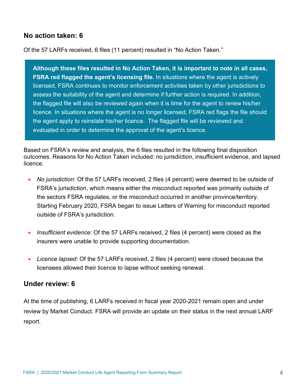### **No action taken: 6**

Of the 57 LARFs received, 6 files (11 percent) resulted in "No Action Taken."

**Although these files resulted in No Action Taken, it is important to note in all cases, FSRA red flagged the agent's licensing file.** In situations where the agent is actively licensed, FSRA continues to monitor enforcement activities taken by other jurisdictions to assess the suitability of the agent and determine if further action is required. In addition, the flagged file will also be reviewed again when it is time for the agent to renew his/her licence. In situations where the agent is no longer licensed, FSRA red flags the file should the agent apply to reinstate his/her licence. The flagged file will be reviewed and evaluated in order to determine the approval of the agent's licence.

Based on FSRA's review and analysis, the 6 files resulted in the following final disposition outcomes. Reasons for No Action Taken included: no jurisdiction, insufficient evidence, and lapsed licence.

- *No jurisdiction*: Of the 57 LARFs received, 2 files (4 percent) were deemed to be outside of FSRA's jurisdiction, which means either the misconduct reported was primarily outside of the sectors FSRA regulates, or the misconduct occurred in another province/territory. Starting February 2020, FSRA began to issue Letters of Warning for misconduct reported outside of FSRA's jurisdiction.
- *Insufficient evidence*: Of the 57 LARFs received, 2 files (4 percent) were closed as the insurers were unable to provide supporting documentation.
- *Licence lapsed*: Of the 57 LARFs received, 2 files (4 percent) were closed because the licensees allowed their licence to lapse without seeking renewal.

#### **Under review: 6**

At the time of publishing, 6 LARFs received in fiscal year 2020-2021 remain open and under review by Market Conduct. FSRA will provide an update on their status in the next annual LARF report.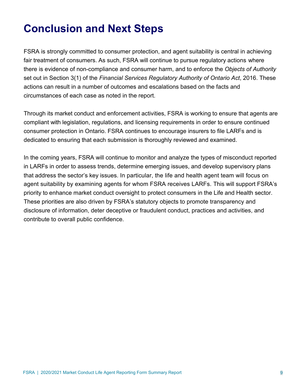## **Conclusion and Next Steps**

FSRA is strongly committed to consumer protection, and agent suitability is central in achieving fair treatment of consumers. As such, FSRA will continue to pursue regulatory actions where there is evidence of non-compliance and consumer harm, and to enforce the *Objects of Authority*  set out in Section 3(1) of the *Financial Services Regulatory Authority of Ontario Act*, 2016. These actions can result in a number of outcomes and escalations based on the facts and circumstances of each case as noted in the report.

Through its market conduct and enforcement activities, FSRA is working to ensure that agents are compliant with legislation, regulations, and licensing requirements in order to ensure continued consumer protection in Ontario. FSRA continues to encourage insurers to file LARFs and is dedicated to ensuring that each submission is thoroughly reviewed and examined.

In the coming years, FSRA will continue to monitor and analyze the types of misconduct reported in LARFs in order to assess trends, determine emerging issues, and develop supervisory plans that address the sector's key issues. In particular, the life and health agent team will focus on agent suitability by examining agents for whom FSRA receives LARFs. This will support FSRA's priority to enhance market conduct oversight to protect consumers in the Life and Health sector. These priorities are also driven by FSRA's statutory objects to promote transparency and disclosure of information, deter deceptive or fraudulent conduct, practices and activities, and contribute to overall public confidence.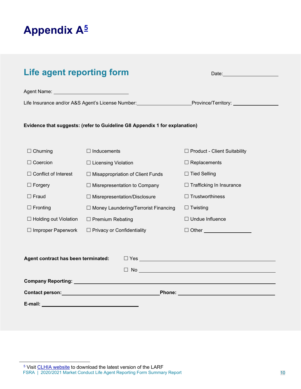

| Life agent reporting form                                                                                                                                                                                                                                                                      |                                             | Date: Note:                         |  |  |
|------------------------------------------------------------------------------------------------------------------------------------------------------------------------------------------------------------------------------------------------------------------------------------------------|---------------------------------------------|-------------------------------------|--|--|
| Agent Name: Name: Name of Agent Name: Name of Agent Name: Name of Agent Name of Agent Of Agent Of Agent Of Agent Of Agent Of Agent Of Agent Of Agent Of Agent Of Agent Of Agent Of Agent Of Agent Of Agent Of Agent Of Agent O                                                                 |                                             |                                     |  |  |
| Life Insurance and/or A&S Agent's License Number: Province/Territory: 1991                                                                                                                                                                                                                     |                                             |                                     |  |  |
| Evidence that suggests: (refer to Guideline G8 Appendix 1 for explanation)                                                                                                                                                                                                                     |                                             |                                     |  |  |
| $\Box$ Churning                                                                                                                                                                                                                                                                                | $\Box$ Inducements                          | $\Box$ Product - Client Suitability |  |  |
| $\Box$ Coercion                                                                                                                                                                                                                                                                                | □ Licensing Violation                       | $\Box$ Replacements                 |  |  |
| $\Box$ Conflict of Interest                                                                                                                                                                                                                                                                    | $\Box$ Misappropriation of Client Funds     | $\Box$ Tied Selling                 |  |  |
| $\Box$ Forgery                                                                                                                                                                                                                                                                                 | $\Box$ Misrepresentation to Company         | $\Box$ Trafficking In Insurance     |  |  |
| $\square$ Fraud                                                                                                                                                                                                                                                                                | $\Box$ Misrepresentation/Disclosure         | $\Box$ Trustworthiness              |  |  |
| $\Box$ Fronting                                                                                                                                                                                                                                                                                | $\Box$ Money Laundering/Terrorist Financing | $\Box$ Twisting                     |  |  |
| □ Holding out Violation                                                                                                                                                                                                                                                                        | $\Box$ Premium Rebating                     | $\Box$ Undue Influence              |  |  |
| $\Box$ Improper Paperwork                                                                                                                                                                                                                                                                      | □ Privacy or Confidentiality                | □ Other ____________________        |  |  |
| Agent contract has been terminated:                                                                                                                                                                                                                                                            |                                             |                                     |  |  |
|                                                                                                                                                                                                                                                                                                |                                             |                                     |  |  |
|                                                                                                                                                                                                                                                                                                |                                             |                                     |  |  |
| Contact person: Manual According to the Contact person:<br><b>Phone:</b> Phone: The Communication of the Communication of the Communication of the Communication of the Communication of the Communication of the Communication of the Communication of the Communication of the Communication |                                             |                                     |  |  |
| E-mail:                                                                                                                                                                                                                                                                                        |                                             |                                     |  |  |

FSRA | 2020/2021 Market Conduct Life Agent Reporting Form Summary Report 10 <sup>5</sup> Visit [CLHIA website](https://www.clhia.ca/web/CLHIA_LP4W_LND_Webstation.nsf/page/51A733C7B7EC15FA85257DAF006B9F16!OpenDocument) to download the latest version of the LARF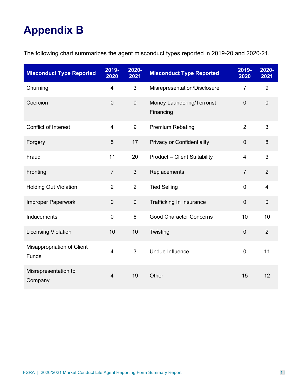# **Appendix B**

The following chart summarizes the agent misconduct types reported in 2019-20 and 2020-21.

| <b>Misconduct Type Reported</b>     | 2019-<br>2020    | 2020-<br>2021  | <b>Misconduct Type Reported</b>         | 2019-<br>2020  | 2020-<br>2021  |
|-------------------------------------|------------------|----------------|-----------------------------------------|----------------|----------------|
| Churning                            | 4                | $\mathfrak{S}$ | Misrepresentation/Disclosure            | $\overline{7}$ | 9              |
| Coercion                            | $\overline{0}$   | $\overline{0}$ | Money Laundering/Terrorist<br>Financing | $\overline{0}$ | $\overline{0}$ |
| <b>Conflict of Interest</b>         | 4                | 9              | <b>Premium Rebating</b>                 | $\overline{2}$ | 3              |
| Forgery                             | 5                | 17             | <b>Privacy or Confidentiality</b>       | $\overline{0}$ | 8              |
| Fraud                               | 11               | 20             | <b>Product - Client Suitability</b>     | 4              | 3              |
| Fronting                            | $\overline{7}$   | $\mathfrak{S}$ | Replacements                            | $\overline{7}$ | $\overline{2}$ |
| <b>Holding Out Violation</b>        | $\overline{2}$   | $\overline{2}$ | <b>Tied Selling</b>                     | $\overline{0}$ | $\overline{4}$ |
| Improper Paperwork                  | $\boldsymbol{0}$ | $\pmb{0}$      | Trafficking In Insurance                | $\mathbf 0$    | $\mathbf 0$    |
| Inducements                         | $\mathbf 0$      | 6              | <b>Good Character Concerns</b>          | 10             | 10             |
| <b>Licensing Violation</b>          | 10               | 10             | Twisting                                | $\mathbf 0$    | $\overline{2}$ |
| Misappropriation of Client<br>Funds | $\overline{4}$   | 3              | <b>Undue Influence</b>                  | $\mathbf 0$    | 11             |
| Misrepresentation to<br>Company     | $\overline{4}$   | 19             | Other                                   | 15             | 12             |